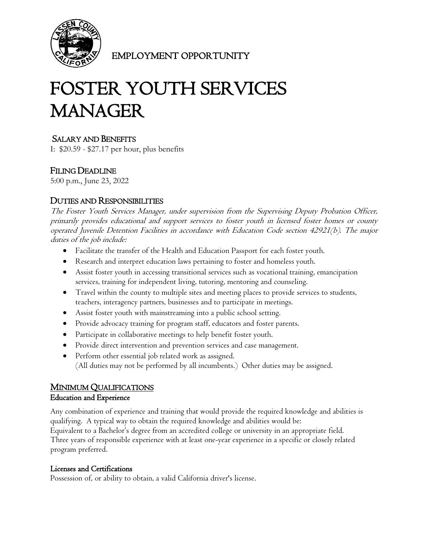

EMPLOYMENT OPPORTUNITY

# FOSTER YOUTH SERVICES **MANAGER**

# SALARY AND BENEFITS

I: \$20.59 - \$27.17 per hour, plus benefits

# FILING DEADLINE

5:00 p.m., June 23, 2022

## DUTIES AND RESPONSIBILITIES

The Foster Youth Services Manager, under supervision from the Supervising Deputy Probation Officer, primarily provides educational and support services to foster youth in licensed foster homes or county operated Juvenile Detention Facilities in accordance with Education Code section 42921(b). The major duties of the job include:

- Facilitate the transfer of the Health and Education Passport for each foster youth.
- Research and interpret education laws pertaining to foster and homeless youth.
- Assist foster youth in accessing transitional services such as vocational training, emancipation services, training for independent living, tutoring, mentoring and counseling.
- Travel within the county to multiple sites and meeting places to provide services to students, teachers, interagency partners, businesses and to participate in meetings.
- Assist foster youth with mainstreaming into a public school setting.
- Provide advocacy training for program staff, educators and foster parents.
- Participate in collaborative meetings to help benefit foster youth.
- Provide direct intervention and prevention services and case management.
- Perform other essential job related work as assigned. (All duties may not be performed by all incumbents.) Other duties may be assigned.

### MINIMUM QUALIFICATIONS

#### Education and Experience

Any combination of experience and training that would provide the required knowledge and abilities is qualifying. A typical way to obtain the required knowledge and abilities would be: Equivalent to a Bachelor's degree from an accredited college or university in an appropriate field. Three years of responsible experience with at least one-year experience in a specific or closely related program preferred.

#### Licenses and Certifications

Possession of, or ability to obtain, a valid California driver's license.